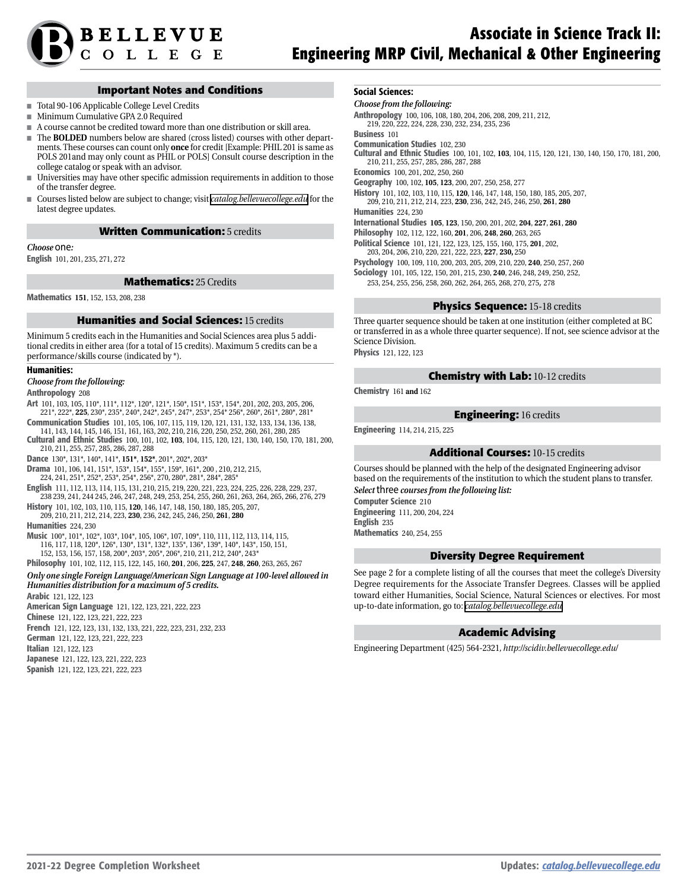

### **Important Notes and Conditions**

- Total 90-106 Applicable College Level Credits
- Minimum Cumulative GPA 2.0 Required
- A course cannot be credited toward more than one distribution or skill area.
- The **BOLDED** numbers below are shared (cross listed) courses with other departments. These courses can count only **once** for credit [Example: PHIL 201 is same as POLS 201and may only count as PHIL or POLS] Consult course description in the college catalog or speak with an advisor.
- Universities may have other specific admission requirements in addition to those of the transfer degree.
- Courses listed below are subject to change; visit *[catalog.bellevuecollege.edu](http://www.bellevuecollege.edu/catalog/degrees/gened/)* for the latest degree updates.

#### **Written Communication:** 5 credits

#### *Choose* one*:*

English 101, 201, 235, 271, 272

**Mathematics:** 25 Credits

Mathematics **151**, 152, 153, 208, 238

#### **Humanities and Social Sciences:** 15 credits

Minimum 5 credits each in the Humanities and Social Sciences area plus 5 additional credits in either area (for a total of 15 credits). Maximum 5 credits can be a performance/skills course (indicated by \*).

#### Humanities:

#### *Choose from the following:*

Anthropology 208

- Art 101, 103, 105, 110\*, 111\*, 112\*, 120\*, 121\*, 150\*, 151\*, 153\*, 154\*, 201, 202, 203, 205, 206, 221\*, 222\*, **225**, 230\*, 235\*, 240\*, 242\*, 245\*, 247\*, 253\*, 254\* 256\*, 260\*, 261\*, 280\*, 281\* Communication Studies 101, 105, 106, 107, 115, 119, 120, 121, 131, 132, 133, 134, 136, 138,
- 141, 143, 144, 145, 146, 151, 161, 163, 202, 210, 216, 220, 250, 252, 260, 261, 280, 285 Cultural and Ethnic Studies 100, 101, 102, **103**, 104, 115, 120, 121, 130, 140, 150, 170, 181, 200, 210, 211, 255, 257, 285, 286, 287, 288
- Dance 130\*, 131\*, 140\*, 141\*, **151\***, **152\***, 201\*, 202\*, 203\*
- Drama 101, 106, 141, 151\*, 153\*, 154\*, 155\*, 159\*, 161\*, 200 , 210, 212, 215, 224, 241, 251\*, 252\*, 253\*, 254\*, 256\*, 270, 280\*, 281\*, 284\*, 285\*
- English 111, 112, 113, 114, 115, 131, 210, 215, 219, 220, 221, 223, 224, 225, 226, 228, 229, 237, 238 239, 241, 244 245, 246, 247, 248, 249, 253, 254, 255, 260, 261, 263, 264, 265, 266, 276, 279
- History 101, 102, 103, 110, 115, **120**, 146, 147, 148, 150, 180, 185, 205, 207, 209, 210, 211, 212, 214, 223, **230**, 236, 242, 245, 246, 250, **261**, **280**

Humanities 224, 230

- Music 100\*, 101\*, 102\*, 103\*, 104\*, 105, 106\*, 107, 109\*, 110, 111, 112, 113, 114, 115, 116, 117, 118, 120\*, 126\*, 130\*, 131\*, 132\*, 135\*, 136\*, 139\*, 140\*, 143\*, 150, 151, 152, 153, 156, 157, 158, 200\*, 203\*, 205\*, 206\*, 210, 211, 212, 240\*, 243\*
- Philosophy 101, 102, 112, 115, 122, 145, 160, **201**, 206, **225**, 247, **248**, **260**, 263, 265, 267

### *Only one single Foreign Language/American Sign Language at 100-level allowed in Humanities distribution for a maximum of 5 credits.*

Arabic 121, 122, 123

American Sign Language 121, 122, 123, 221, 222, 223 Chinese 121, 122, 123, 221, 222, 223 French 121, 122, 123, 131, 132, 133, 221, 222, 223, 231, 232, 233 German 121, 122, 123, 221, 222, 223 Italian 121, 122, 123 Japanese 121, 122, 123, 221, 222, 223 Spanish 121, 122, 123, 221, 222, 223

# Social Sciences:

### *Choose from the following:*

Anthropology 100, 106, 108, 180, 204, 206, 208, 209, 211, 212, 219, 220, 222, 224, 228, 230, 232, 234, 235, 236

Business 101

Communication Studies 102, 230

Cultural and Ethnic Studies 100, 101, 102, **103**, 104, 115, 120, 121, 130, 140, 150, 170, 181, 200, 210, 211, 255, 257, 285, 286, 287, 288

Economics 100, 201, 202, 250, 260

Geography 100, 102, **105**, **123**, 200, 207, 250, 258, 277

History 101, 102, 103, 110, 115, **120**, 146, 147, 148, 150, 180, 185, 205, 207,

209, 210, 211, 212, 214, 223, **230**, 236, 242, 245, 246, 250, **261**, **280**

Humanities 224, 230

International Studies **105**, **123**, 150, 200, 201, 202, **204**, **227**, **261**, **280**

Philosophy 102, 112, 122, 160, **201**, 206, **248**, **260**, 263, 265

Political Science 101, 121, 122, 123, 125, 155, 160, 175, **201**, 202, 203, 204, 206, 210, 220, 221, 222, 223, **227**, **230,** 250

Psychology 100, 109, 110, 200, 203, 205, 209, 210, 220, **240**, 250, 257, 260

Sociology 101, 105, 122, 150, 201, 215, 230, **240**, 246, 248, 249, 250, 252,

253, 254, 255, 256, 258, 260, 262, 264, 265, 268, 270, 275, 278

#### **Physics Sequence:** 15-18 credits

Three quarter sequence should be taken at one institution (either completed at BC or transferred in as a whole three quarter sequence). If not, see science advisor at the Science Division.

Physics 121, 122, 123

# **Chemistry with Lab:** 10-12 credits

Chemistry 161 **and** 162

### **Engineering:** 16 credits

Engineering 114, 214, 215, 225

### **Additional Courses:** 10-15 credits

Courses should be planned with the help of the designated Engineering advisor based on the requirements of the institution to which the student plans to transfer. *Select* three *courses from the following list:*

Computer Science 210 Engineering 111, 200, 204, 224 English 235 Mathematics 240, 254, 255

### **Diversity Degree Requirement**

See page 2 for a complete listing of all the courses that meet the college's Diversity Degree requirements for the Associate Transfer Degrees. Classes will be applied toward either Humanities, Social Science, Natural Sciences or electives. For most up-to-date information, go to: *[catalog.bellevuecollege.edu](http://www.bellevuecollege.edu/catalog/degrees/gened/)*

### **Academic Advising**

Engineering Department (425) 564-2321*, http://scidiv.bellevuecollege.edu/*